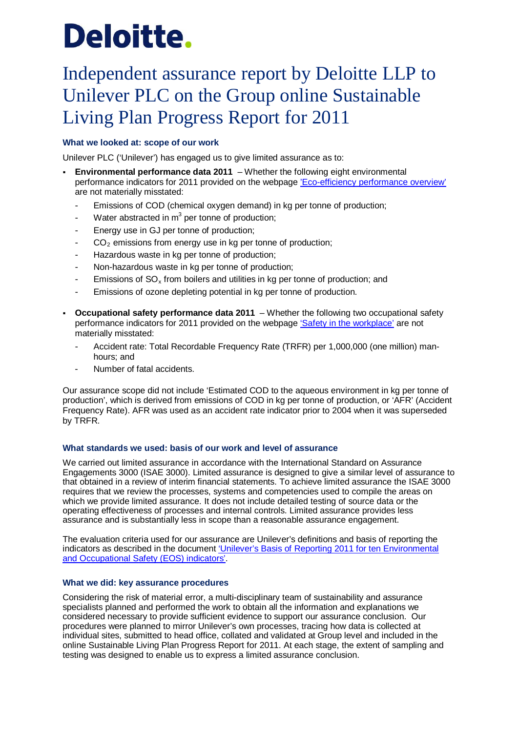# Deloitte.

# Independent assurance report by Deloitte LLP to Unilever PLC on the Group online Sustainable Living Plan Progress Report for 2011

## **What we looked at: scope of our work**

Unilever PLC ('Unilever') has engaged us to give limited assurance as to:

- **Environmental performance data 2011** Whether the following eight environmental performance indicators for 2011 provided on the webpage ['Eco-efficiency performance overview'](http://www.unilever.com/sustainable-living/ourapproach/eco-efficiencyinmanufacturing/performance/) are not materially misstated:
	- Emissions of COD (chemical oxygen demand) in kg per tonne of production;
	- Water abstracted in  $m<sup>3</sup>$  per tonne of production;
	- Energy use in GJ per tonne of production;
	- $CO<sub>2</sub>$  emissions from energy use in kg per tonne of production;
	- Hazardous waste in kg per tonne of production;
	- Non-hazardous waste in kg per tonne of production;
	- Emissions of  $SO<sub>x</sub>$  from boilers and utilities in kg per tonne of production; and
	- Emissions of ozone depleting potential in kg per tonne of production.
- **Occupational safety performance data 2011** Whether the following two occupational safety performance indicators for 2011 provided on the webpage ['Safety in the workplace'](http://www.unilever.com/sustainable-living/ourpeople/well-being/safety/) are not materially misstated:
	- Accident rate: Total Recordable Frequency Rate (TRFR) per 1,000,000 (one million) manhours; and
	- Number of fatal accidents.

Our assurance scope did not include 'Estimated COD to the aqueous environment in kg per tonne of production', which is derived from emissions of COD in kg per tonne of production, or 'AFR' (Accident Frequency Rate). AFR was used as an accident rate indicator prior to 2004 when it was superseded by TRFR.

#### **What standards we used: basis of our work and level of assurance**

We carried out limited assurance in accordance with the International Standard on Assurance Engagements 3000 (ISAE 3000). Limited assurance is designed to give a similar level of assurance to that obtained in a review of interim financial statements. To achieve limited assurance the ISAE 3000 requires that we review the processes, systems and competencies used to compile the areas on which we provide limited assurance. It does not include detailed testing of source data or the operating effectiveness of processes and internal controls. Limited assurance provides less assurance and is substantially less in scope than a reasonable assurance engagement.

The evaluation criteria used for our assurance are Unilever's definitions and basis of reporting the indicators as described in the document ['Unilever's Basis of Reporting](hhttp://www.unilever.com/images/Unilever%27s%20Basis%20of%20Reporting%202011%20for%20ten%20assured%20Environmental%20and%20Occupational%20Safety%20(EOS)%20indicators_tcm13-300508.pdf) 2011 for ten Environmental [and Occupational Safety \(EOS\) indicators'.](hhttp://www.unilever.com/images/Unilever%27s%20Basis%20of%20Reporting%202011%20for%20ten%20assured%20Environmental%20and%20Occupational%20Safety%20(EOS)%20indicators_tcm13-300508.pdf)

#### **What we did: key assurance procedures**

Considering the risk of material error, a multi-disciplinary team of sustainability and assurance specialists planned and performed the work to obtain all the information and explanations we considered necessary to provide sufficient evidence to support our assurance conclusion. Our procedures were planned to mirror Unilever's own processes, tracing how data is collected at individual sites, submitted to head office, collated and validated at Group level and included in the online Sustainable Living Plan Progress Report for 2011. At each stage, the extent of sampling and testing was designed to enable us to express a limited assurance conclusion.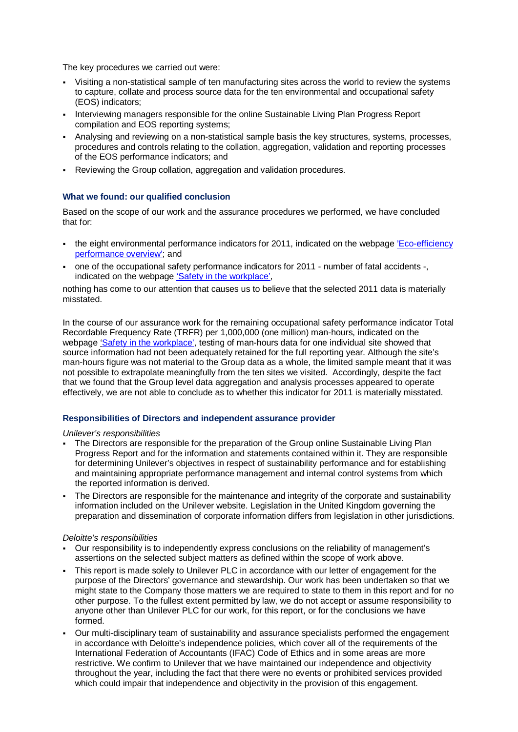The key procedures we carried out were:

- Visiting a non-statistical sample of ten manufacturing sites across the world to review the systems to capture, collate and process source data for the ten environmental and occupational safety (EOS) indicators;
- Interviewing managers responsible for the online Sustainable Living Plan Progress Report compilation and EOS reporting systems;
- Analysing and reviewing on a non-statistical sample basis the key structures, systems, processes, procedures and controls relating to the collation, aggregation, validation and reporting processes of the EOS performance indicators; and
- Reviewing the Group collation, aggregation and validation procedures.

#### **What we found: our qualified conclusion**

Based on the scope of our work and the assurance procedures we performed, we have concluded that for:

- the eight environmental performance indicators for 2011, indicated on the webpage 'Eco-efficiency [performance overview';](http://www.unilever.com/sustainable-living/ourapproach/eco-efficiencyinmanufacturing/performance/) and
- one of the occupational safety performance indicators for 2011 number of fatal accidents -, indicated on the webpage ['Safety in the workplace',](http://www.unilever.com/sustainable-living/ourpeople/well-being/safety/)

nothing has come to our attention that causes us to believe that the selected 2011 data is materially misstated.

In the course of our assurance work for the remaining occupational safety performance indicator Total Recordable Frequency Rate (TRFR) per 1,000,000 (one million) man-hours, indicated on the webpage ['Safety in the workplace',](http://www.unilever.com/sustainable-living/ourpeople/well-being/safety/) testing of man-hours data for one individual site showed that source information had not been adequately retained for the full reporting year. Although the site's man-hours figure was not material to the Group data as a whole, the limited sample meant that it was not possible to extrapolate meaningfully from the ten sites we visited. Accordingly, despite the fact that we found that the Group level data aggregation and analysis processes appeared to operate effectively, we are not able to conclude as to whether this indicator for 2011 is materially misstated.

#### **Responsibilities of Directors and independent assurance provider**

#### *Unilever's responsibilities*

- The Directors are responsible for the preparation of the Group online Sustainable Living Plan Progress Report and for the information and statements contained within it. They are responsible for determining Unilever's objectives in respect of sustainability performance and for establishing and maintaining appropriate performance management and internal control systems from which the reported information is derived.
- The Directors are responsible for the maintenance and integrity of the corporate and sustainability information included on the Unilever website. Legislation in the United Kingdom governing the preparation and dissemination of corporate information differs from legislation in other jurisdictions.

#### *Deloitte's responsibilities*

- Our responsibility is to independently express conclusions on the reliability of management's assertions on the selected subject matters as defined within the scope of work above.
- This report is made solely to Unilever PLC in accordance with our letter of engagement for the purpose of the Directors' governance and stewardship. Our work has been undertaken so that we might state to the Company those matters we are required to state to them in this report and for no other purpose. To the fullest extent permitted by law, we do not accept or assume responsibility to anyone other than Unilever PLC for our work, for this report, or for the conclusions we have formed.
- Our multi-disciplinary team of sustainability and assurance specialists performed the engagement in accordance with Deloitte's independence policies, which cover all of the requirements of the International Federation of Accountants (IFAC) Code of Ethics and in some areas are more restrictive. We confirm to Unilever that we have maintained our independence and objectivity throughout the year, including the fact that there were no events or prohibited services provided which could impair that independence and objectivity in the provision of this engagement.